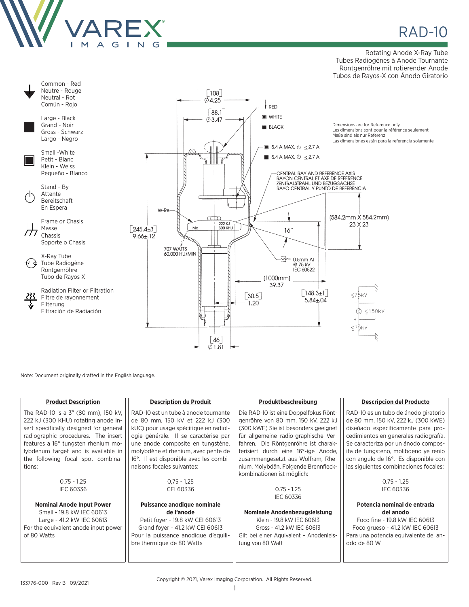

**RAD-10** 

Rotating Anode X-Ray Tube Tubes Radiogénes à Anode Tournante Röntgenröhre mit rotierender Anode Tubos de Rayos-X con Ánodo Giratorio



Note: Document originally drafted in the English language.

| <b>Product Description</b>             | <b>Description du Produit</b>          | Produktbeschreibung                     | <b>Descripcion del Producto</b>       |
|----------------------------------------|----------------------------------------|-----------------------------------------|---------------------------------------|
| The RAD-10 is a 3" (80 mm), 150 kV,    | RAD-10 est un tube à anode tournante   | Die RAD-10 ist eine Doppelfokus Rönt-   | RAD-10 es un tubo de ánodo giratorio  |
| 222 kJ (300 KHU) rotating anode in-    | de 80 mm, 150 kV et 222 kJ (300        | genröhre von 80 mm, 150 kV, 222 kJ      | de 80 mm, 150 kV, 222 kJ (300 kWE)    |
| sert specifically designed for general | kUC) pour usage spécifique en radiol-  | (300 kWE) Sie ist besonders geeignet    | diseñado especificamente para pro-    |
| radiographic procedures. The insert    | ogie générale. Il se caractérise par   | für allgemeine radio-graphische Ver-    | cedimientos en generales radiografía. |
| features a 16° tungsten rhenium mo-    | une anode composite en tungstène,      | fahren. Die Röntgenröhre ist charak-    | Se caracteriza por un ánodo compos-   |
| lybdenum target and is available in    | molybdène et rhenium, avec pente de    | terisiert durch eine 16°-ige Anode,     | ita de tungsteno, molibdeno ye renio  |
| the following focal spot combina-      | 16°. Il est disponible avec les combi- | zusammengesetzt aus Wolfram, Rhe-       | con angulo de 16°. Es disponible con  |
| tions:                                 | naisons focales suivantes:             | nium, Molybdän. Folgende Brennfleck-    | las siguientes combinaciones focales: |
|                                        |                                        | kombinationen ist möglich:              |                                       |
| $0.75 - 1.25$                          | $0.75 - 1.25$                          |                                         | $0.75 - 1.25$                         |
| <b>IEC 60336</b>                       | CEI 60336                              | $0.75 - 1.25$                           | <b>IEC 60336</b>                      |
|                                        |                                        | <b>IEC 60336</b>                        |                                       |
| <b>Nominal Anode Input Power</b>       | Puissance anodique nominale            |                                         | Potencia nominal de entrada           |
| Small - 19.8 kW IEC 60613              | de l'anode                             | Nominale Anodenbezugsleistung           | del anodo                             |
| Large - 41.2 kW IEC 60613              | Petit foyer - 19.8 kW CEI 60613        | Klein - 19.8 kW IEC 60613               | Foco fine - 19.8 kW IEC 60613         |
| For the equivalent anode input power   | Grand foyer - 41.2 kW CEI 60613        | Gross - 41.2 kW IEC 60613               | Foco grueso - 41.2 kW IEC 60613       |
| of 80 Watts                            | Pour la puissance anodique d'equili-   | Gilt bei einer Aquivalent - Anodenleis- | Para una potencia equivalente del an- |
|                                        | bre thermique de 80 Watts              | tung von 80 Watt                        | odo de 80 W                           |
|                                        |                                        |                                         |                                       |
|                                        |                                        |                                         |                                       |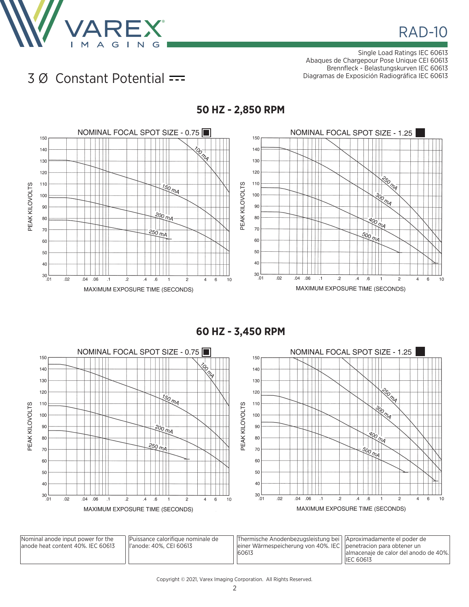![](_page_1_Picture_0.jpeg)

Single Load Ratings IEC 60613 Abaques de Chargepour Pose Unique CEI 60613 Brennfleck - Belastungskurven IEC 60613 Diagramas de Exposición Radiográfica IEC 60613

## 3 Ø Constant Potential

![](_page_1_Figure_4.jpeg)

**60 HZ - 3,450 RPM**

![](_page_1_Figure_6.jpeg)

| Nominal anode input power for the<br>lanode heat content 40%. IEC 60613 | Puissance calorifique nominale de<br>ll'anode: 40%. CEI 60613 | Thermische Anodenbezugsleistung bei   Aproximadamente el poder de<br>einer Wärmespeicherung von 40%. IEC   $ $ penetracion para obtener un<br>60613 | lalmacenaje de calor del anodo de 40%.<br><b>IEC 60613</b> |
|-------------------------------------------------------------------------|---------------------------------------------------------------|-----------------------------------------------------------------------------------------------------------------------------------------------------|------------------------------------------------------------|
|-------------------------------------------------------------------------|---------------------------------------------------------------|-----------------------------------------------------------------------------------------------------------------------------------------------------|------------------------------------------------------------|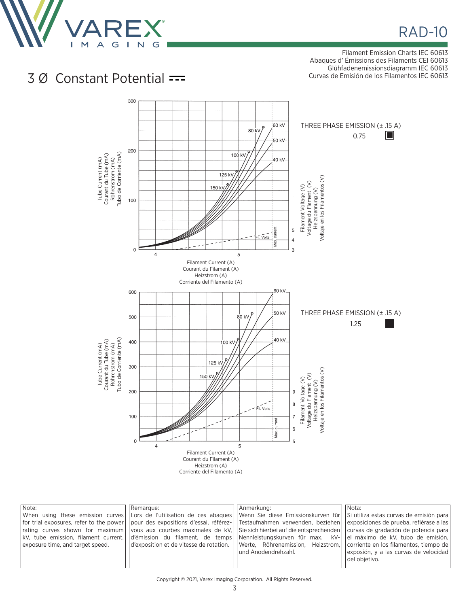![](_page_2_Picture_0.jpeg)

## **RAD-10**

Filament Emission Charts IEC 60613 Abaques d' Émissions des Filaments CEI 60613 Glühfadenemissionsdiagramm IEC 60613 Curvas de Emisión de los Filamentos IEC 60613

## 3 Ø Constant Potential

![](_page_2_Figure_4.jpeg)

| pour des expositions d'essai, référez-  Testaufnahmen verwenden, beziehen  exposiciones de prueba, refiérase a las<br>vous aux courbes maximales de kV, Sie sich hierbei auf die entsprechenden curvas de gradación de potencia para<br>rating curves shown for maximum<br> kV, tube emission, filament current,  d'émission du filament, de temps  Nennleistungskurven für max.  kV- <br>Verte. Röhrenemission. Heizstrom. Corriente en los filamentos, tiempo de<br>exposure time, and target speed.<br>d'exposition et de vitesse de rotation.  <br>und Anodendrehzahl.<br>del obietivo. | Note:<br>for trial exposures, refer to the power l | Remarque:<br>When using these emission curves Lors de l'utilisation de ces abagues   Wenn Sie diese Emissionskurven für   Si utiliza estas curvas de emisión para | Anmerkung: | Nota:<br>el máximo de kV, tubo de emisión,<br>exposión, y a las curvas de velocidad |
|---------------------------------------------------------------------------------------------------------------------------------------------------------------------------------------------------------------------------------------------------------------------------------------------------------------------------------------------------------------------------------------------------------------------------------------------------------------------------------------------------------------------------------------------------------------------------------------------|----------------------------------------------------|-------------------------------------------------------------------------------------------------------------------------------------------------------------------|------------|-------------------------------------------------------------------------------------|
|---------------------------------------------------------------------------------------------------------------------------------------------------------------------------------------------------------------------------------------------------------------------------------------------------------------------------------------------------------------------------------------------------------------------------------------------------------------------------------------------------------------------------------------------------------------------------------------------|----------------------------------------------------|-------------------------------------------------------------------------------------------------------------------------------------------------------------------|------------|-------------------------------------------------------------------------------------|